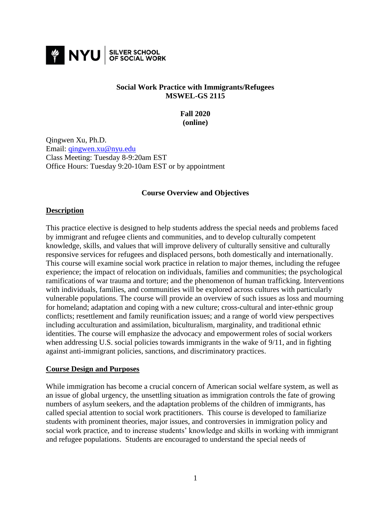

### **Social Work Practice with Immigrants/Refugees MSWEL-GS 2115**

**Fall 2020 (online)**

Qingwen Xu, Ph.D. Email: [qingwen.xu@nyu.edu](mailto:qingwen.xu@nyu.edu) Class Meeting: Tuesday 8-9:20am EST Office Hours: Tuesday 9:20-10am EST or by appointment

### **Course Overview and Objectives**

### **Description**

This practice elective is designed to help students address the special needs and problems faced by immigrant and refugee clients and communities, and to develop culturally competent knowledge, skills, and values that will improve delivery of culturally sensitive and culturally responsive services for refugees and displaced persons, both domestically and internationally. This course will examine social work practice in relation to major themes, including the refugee experience; the impact of relocation on individuals, families and communities; the psychological ramifications of war trauma and torture; and the phenomenon of human trafficking. Interventions with individuals, families, and communities will be explored across cultures with particularly vulnerable populations. The course will provide an overview of such issues as loss and mourning for homeland; adaptation and coping with a new culture; cross-cultural and inter-ethnic group conflicts; resettlement and family reunification issues; and a range of world view perspectives including acculturation and assimilation, biculturalism, marginality, and traditional ethnic identities. The course will emphasize the advocacy and empowerment roles of social workers when addressing U.S. social policies towards immigrants in the wake of 9/11, and in fighting against anti-immigrant policies, sanctions, and discriminatory practices.

### **Course Design and Purposes**

While immigration has become a crucial concern of American social welfare system, as well as an issue of global urgency, the unsettling situation as immigration controls the fate of growing numbers of asylum seekers, and the adaptation problems of the children of immigrants, has called special attention to social work practitioners. This course is developed to familiarize students with prominent theories, major issues, and controversies in immigration policy and social work practice, and to increase students' knowledge and skills in working with immigrant and refugee populations. Students are encouraged to understand the special needs of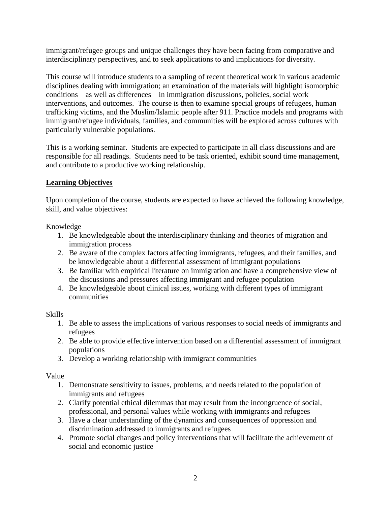immigrant/refugee groups and unique challenges they have been facing from comparative and interdisciplinary perspectives, and to seek applications to and implications for diversity.

This course will introduce students to a sampling of recent theoretical work in various academic disciplines dealing with immigration; an examination of the materials will highlight isomorphic conditions—as well as differences—in immigration discussions, policies, social work interventions, and outcomes. The course is then to examine special groups of refugees, human trafficking victims, and the Muslim/Islamic people after 911. Practice models and programs with immigrant/refugee individuals, families, and communities will be explored across cultures with particularly vulnerable populations.

This is a working seminar. Students are expected to participate in all class discussions and are responsible for all readings. Students need to be task oriented, exhibit sound time management, and contribute to a productive working relationship.

# **Learning Objectives**

Upon completion of the course, students are expected to have achieved the following knowledge, skill, and value objectives:

Knowledge

- 1. Be knowledgeable about the interdisciplinary thinking and theories of migration and immigration process
- 2. Be aware of the complex factors affecting immigrants, refugees, and their families, and be knowledgeable about a differential assessment of immigrant populations
- 3. Be familiar with empirical literature on immigration and have a comprehensive view of the discussions and pressures affecting immigrant and refugee population
- 4. Be knowledgeable about clinical issues, working with different types of immigrant communities

Skills

- 1. Be able to assess the implications of various responses to social needs of immigrants and refugees
- 2. Be able to provide effective intervention based on a differential assessment of immigrant populations
- 3. Develop a working relationship with immigrant communities

Value

- 1. Demonstrate sensitivity to issues, problems, and needs related to the population of immigrants and refugees
- 2. Clarify potential ethical dilemmas that may result from the incongruence of social, professional, and personal values while working with immigrants and refugees
- 3. Have a clear understanding of the dynamics and consequences of oppression and discrimination addressed to immigrants and refugees
- 4. Promote social changes and policy interventions that will facilitate the achievement of social and economic justice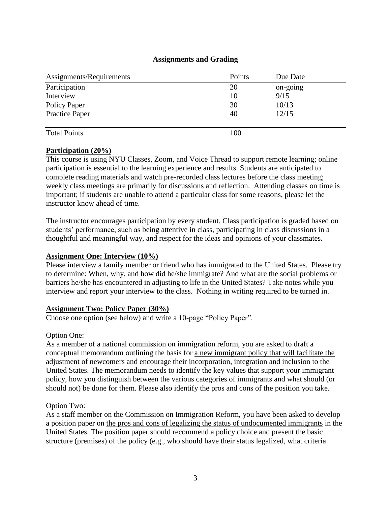## **Assignments and Grading**

| Assignments/Requirements | Points | Due Date |  |
|--------------------------|--------|----------|--|
| Participation            | 20     | on-going |  |
| Interview                | 10     | 9/15     |  |
| Policy Paper             | 30     | 10/13    |  |
| <b>Practice Paper</b>    | 40     | 12/15    |  |
|                          |        |          |  |
| <b>Total Points</b>      | 100    |          |  |

### **Participation (20%)**

This course is using NYU Classes, Zoom, and Voice Thread to support remote learning; online participation is essential to the learning experience and results. Students are anticipated to complete reading materials and watch pre-recorded class lectures before the class meeting; weekly class meetings are primarily for discussions and reflection. Attending classes on time is important; if students are unable to attend a particular class for some reasons, please let the instructor know ahead of time.

The instructor encourages participation by every student. Class participation is graded based on students' performance, such as being attentive in class, participating in class discussions in a thoughtful and meaningful way, and respect for the ideas and opinions of your classmates.

## **Assignment One: Interview (10%)**

Please interview a family member or friend who has immigrated to the United States. Please try to determine: When, why, and how did he/she immigrate? And what are the social problems or barriers he/she has encountered in adjusting to life in the United States? Take notes while you interview and report your interview to the class. Nothing in writing required to be turned in.

## **Assignment Two: Policy Paper (30%)**

Choose one option (see below) and write a 10-page "Policy Paper".

### Option One:

As a member of a national commission on immigration reform, you are asked to draft a conceptual memorandum outlining the basis for a new immigrant policy that will facilitate the adjustment of newcomers and encourage their incorporation, integration and inclusion to the United States. The memorandum needs to identify the key values that support your immigrant policy, how you distinguish between the various categories of immigrants and what should (or should not) be done for them. Please also identify the pros and cons of the position you take.

### Option Two:

As a staff member on the Commission on Immigration Reform, you have been asked to develop a position paper on the pros and cons of legalizing the status of undocumented immigrants in the United States. The position paper should recommend a policy choice and present the basic structure (premises) of the policy (e.g., who should have their status legalized, what criteria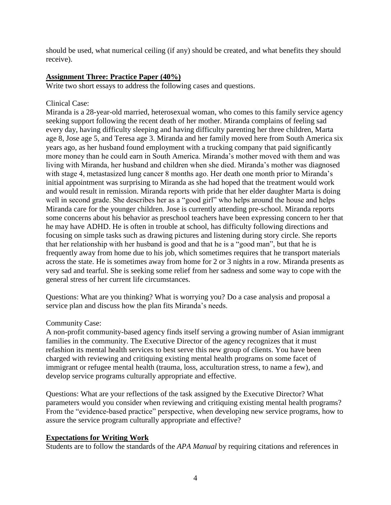should be used, what numerical ceiling (if any) should be created, and what benefits they should receive).

## **Assignment Three: Practice Paper (40%)**

Write two short essays to address the following cases and questions.

## Clinical Case:

Miranda is a 28-year-old married, heterosexual woman, who comes to this family service agency seeking support following the recent death of her mother. Miranda complains of feeling sad every day, having difficulty sleeping and having difficulty parenting her three children, Marta age 8, Jose age 5, and Teresa age 3. Miranda and her family moved here from South America six years ago, as her husband found employment with a trucking company that paid significantly more money than he could earn in South America. Miranda's mother moved with them and was living with Miranda, her husband and children when she died. Miranda's mother was diagnosed with stage 4, metastasized lung cancer 8 months ago. Her death one month prior to Miranda's initial appointment was surprising to Miranda as she had hoped that the treatment would work and would result in remission. Miranda reports with pride that her elder daughter Marta is doing well in second grade. She describes her as a "good girl" who helps around the house and helps Miranda care for the younger children. Jose is currently attending pre-school. Miranda reports some concerns about his behavior as preschool teachers have been expressing concern to her that he may have ADHD. He is often in trouble at school, has difficulty following directions and focusing on simple tasks such as drawing pictures and listening during story circle. She reports that her relationship with her husband is good and that he is a "good man", but that he is frequently away from home due to his job, which sometimes requires that he transport materials across the state. He is sometimes away from home for 2 or 3 nights in a row. Miranda presents as very sad and tearful. She is seeking some relief from her sadness and some way to cope with the general stress of her current life circumstances.

Questions: What are you thinking? What is worrying you? Do a case analysis and proposal a service plan and discuss how the plan fits Miranda's needs.

## Community Case:

A non-profit community-based agency finds itself serving a growing number of Asian immigrant families in the community. The Executive Director of the agency recognizes that it must refashion its mental health services to best serve this new group of clients. You have been charged with reviewing and critiquing existing mental health programs on some facet of immigrant or refugee mental health (trauma, loss, acculturation stress, to name a few), and develop service programs culturally appropriate and effective.

Questions: What are your reflections of the task assigned by the Executive Director? What parameters would you consider when reviewing and critiquing existing mental health programs? From the "evidence-based practice" perspective, when developing new service programs, how to assure the service program culturally appropriate and effective?

# **Expectations for Writing Work**

Students are to follow the standards of the *APA Manual* by requiring citations and references in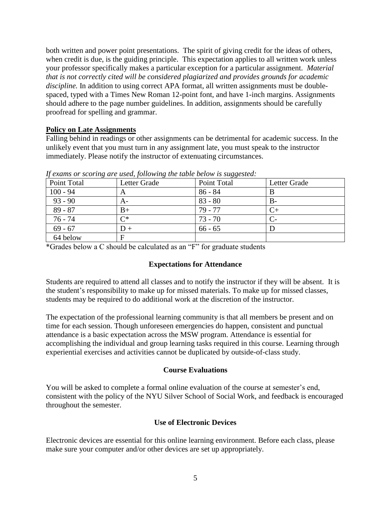both written and power point presentations. The spirit of giving credit for the ideas of others, when credit is due, is the guiding principle. This expectation applies to all written work unless your professor specifically makes a particular exception for a particular assignment. *Material that is not correctly cited will be considered plagiarized and provides grounds for academic discipline.* In addition to using correct APA format, all written assignments must be doublespaced, typed with a Times New Roman 12-point font, and have 1-inch margins. Assignments should adhere to the page number guidelines. In addition, assignments should be carefully proofread for spelling and grammar.

### **Policy on Late Assignments**

Falling behind in readings or other assignments can be detrimental for academic success. In the unlikely event that you must turn in any assignment late, you must speak to the instructor immediately. Please notify the instructor of extenuating circumstances.

| The common of Boothing and about forte ming the table below to buggebreat |              |             |              |  |
|---------------------------------------------------------------------------|--------------|-------------|--------------|--|
| Point Total                                                               | Letter Grade | Point Total | Letter Grade |  |
| $100 - 94$                                                                | A            | 86 - 84     | B            |  |
| $93 - 90$                                                                 | $A-$         | $83 - 80$   | $B-$         |  |
| $89 - 87$                                                                 | B+           | $79 - 77$   |              |  |
| $76 - 74$                                                                 | $\cap^*$     | $73 - 70$   |              |  |
| $69 - 67$                                                                 | $1) +$       | $66 - 65$   |              |  |
| 64 below                                                                  |              |             |              |  |

*If exams or scoring are used, following the table below is suggested:*

\*Grades below a C should be calculated as an "F" for graduate students

### **Expectations for Attendance**

Students are required to attend all classes and to notify the instructor if they will be absent. It is the student's responsibility to make up for missed materials. To make up for missed classes, students may be required to do additional work at the discretion of the instructor.

The expectation of the professional learning community is that all members be present and on time for each session. Though unforeseen emergencies do happen, consistent and punctual attendance is a basic expectation across the MSW program. Attendance is essential for accomplishing the individual and group learning tasks required in this course. Learning through experiential exercises and activities cannot be duplicated by outside-of-class study.

## **Course Evaluations**

You will be asked to complete a formal online evaluation of the course at semester's end, consistent with the policy of the NYU Silver School of Social Work, and feedback is encouraged throughout the semester.

### **Use of Electronic Devices**

Electronic devices are essential for this online learning environment. Before each class, please make sure your computer and/or other devices are set up appropriately.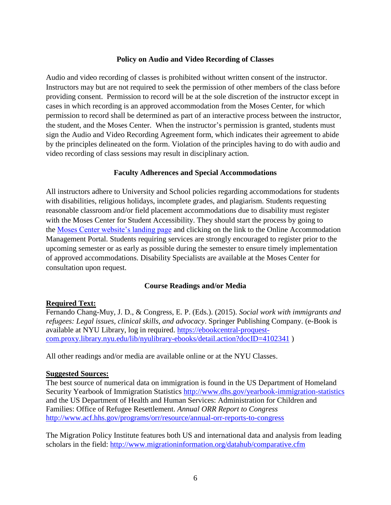### **Policy on Audio and Video Recording of Classes**

Audio and video recording of classes is prohibited without written consent of the instructor. Instructors may but are not required to seek the permission of other members of the class before providing consent. Permission to record will be at the sole discretion of the instructor except in cases in which recording is an approved accommodation from the Moses Center, for which permission to record shall be determined as part of an interactive process between the instructor, the student, and the Moses Center. When the instructor's permission is granted, students must sign the Audio and Video Recording Agreement form, which indicates their agreement to abide by the principles delineated on the form. Violation of the principles having to do with audio and video recording of class sessions may result in disciplinary action.

### **Faculty Adherences and Special Accommodations**

All instructors adhere to University and School policies regarding accommodations for students with disabilities, religious holidays, incomplete grades, and plagiarism. Students requesting reasonable classroom and/or field placement accommodations due to disability must register with the Moses Center for Student Accessibility. They should start the process by going to the [Moses Center website's landing page](https://www.nyu.edu/students/communities-and-groups/student-accessibility.html) and clicking on the link to the Online Accommodation Management Portal. Students requiring services are strongly encouraged to register prior to the upcoming semester or as early as possible during the semester to ensure timely implementation of approved accommodations. Disability Specialists are available at the Moses Center for consultation upon request.

## **Course Readings and/or Media**

### **Required Text:**

Fernando Chang-Muy, J. D., & Congress, E. P. (Eds.). (2015). *Social work with immigrants and refugees: Legal issues, clinical skills, and advocacy*. Springer Publishing Company. (e-Book is available at NYU Library, log in required. [https://ebookcentral-proquest](https://ebookcentral-proquest-com.proxy.library.nyu.edu/lib/nyulibrary-ebooks/detail.action?docID=4102341)[com.proxy.library.nyu.edu/lib/nyulibrary-ebooks/detail.action?docID=4102341](https://ebookcentral-proquest-com.proxy.library.nyu.edu/lib/nyulibrary-ebooks/detail.action?docID=4102341) )

All other readings and/or media are available online or at the NYU Classes.

### **Suggested Sources:**

The best source of numerical data on immigration is found in the US Department of Homeland Security Yearbook of Immigration Statistics<http://www.dhs.gov/yearbook-immigration-statistics> and the US Department of Health and Human Services: Administration for Children and Families: Office of Refugee Resettlement. *Annual ORR Report to Congress*  <http://www.acf.hhs.gov/programs/orr/resource/annual-orr-reports-to-congress>

The Migration Policy Institute features both US and international data and analysis from leading scholars in the field:<http://www.migrationinformation.org/datahub/comparative.cfm>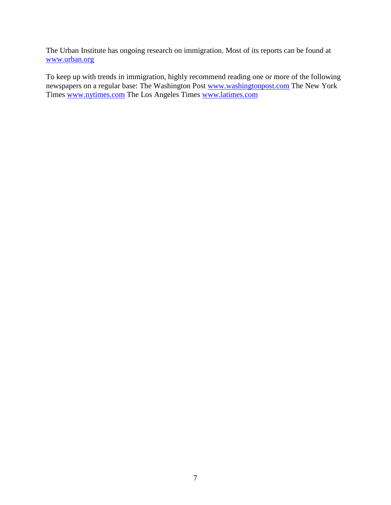The Urban Institute has ongoing research on immigration. Most of its reports can be found at [www.urban.org](http://www.urban.org/) 

To keep up with trends in immigration, highly recommend reading one or more of the following newspapers on a regular base: The Washington Post [www.washingtonpost.com](http://www.washingtonpost.com/) The New York Times [www.nytimes.com](http://www.nytimes.com/) The Los Angeles Times [www.latimes.com](http://www.latimes.com/)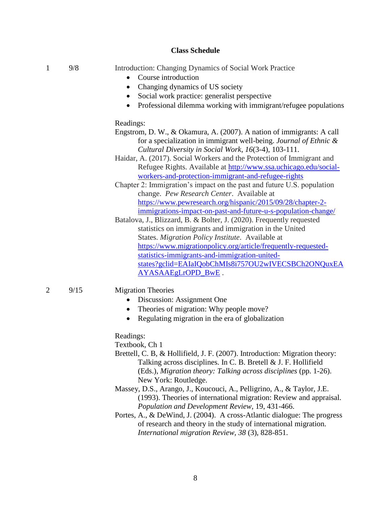#### **Class Schedule**

|  | 9/8 |  |  |  |  | Introduction: Changing Dynamics of Social Work Practice |
|--|-----|--|--|--|--|---------------------------------------------------------|
|--|-----|--|--|--|--|---------------------------------------------------------|

- Course introduction
- Changing dynamics of US society
- Social work practice: generalist perspective
- Professional dilemma working with immigrant/refugee populations

#### Readings:

- Engstrom, D. W., & Okamura, A. (2007). A nation of immigrants: A call for a specialization in immigrant well-being. *Journal of Ethnic & Cultural Diversity in Social Work*, *16*(3-4), 103-111.
- Haidar, A. (2017). Social Workers and the Protection of Immigrant and Refugee Rights. Available at [http://www.ssa.uchicago.edu/social](http://www.ssa.uchicago.edu/social-workers-and-protection-immigrant-and-refugee-rights)[workers-and-protection-immigrant-and-refugee-rights](http://www.ssa.uchicago.edu/social-workers-and-protection-immigrant-and-refugee-rights)
- Chapter 2: Immigration's impact on the past and future U.S. population change. *Pew Research Center*. Available at [https://www.pewresearch.org/hispanic/2015/09/28/chapter-2](https://www.pewresearch.org/hispanic/2015/09/28/chapter-2-immigrations-impact-on-past-and-future-u-s-population-change/) [immigrations-impact-on-past-and-future-u-s-population-change/](https://www.pewresearch.org/hispanic/2015/09/28/chapter-2-immigrations-impact-on-past-and-future-u-s-population-change/)
- Batalova, J., Blizzard, B. & Bolter, J. (2020). Frequently requested statistics on immigrants and immigration in the United States. *Migration Policy Institute*. Available at [https://www.migrationpolicy.org/article/frequently-requested](https://www.migrationpolicy.org/article/frequently-requested-statistics-immigrants-and-immigration-united-states?gclid=EAIaIQobChMIs8i757OU2wIVECSBCh2ONQuxEAAYASAAEgLrOPD_BwE)[statistics-immigrants-and-immigration-united](https://www.migrationpolicy.org/article/frequently-requested-statistics-immigrants-and-immigration-united-states?gclid=EAIaIQobChMIs8i757OU2wIVECSBCh2ONQuxEAAYASAAEgLrOPD_BwE)[states?gclid=EAIaIQobChMIs8i757OU2wIVECSBCh2ONQuxEA](https://www.migrationpolicy.org/article/frequently-requested-statistics-immigrants-and-immigration-united-states?gclid=EAIaIQobChMIs8i757OU2wIVECSBCh2ONQuxEAAYASAAEgLrOPD_BwE) [AYASAAEgLrOPD\\_BwE](https://www.migrationpolicy.org/article/frequently-requested-statistics-immigrants-and-immigration-united-states?gclid=EAIaIQobChMIs8i757OU2wIVECSBCh2ONQuxEAAYASAAEgLrOPD_BwE) .

#### 2 9/15 Migration Theories

- Discussion: Assignment One
- Theories of migration: Why people move?
- Regulating migration in the era of globalization

Readings:

Textbook, Ch 1

- Brettell, C. B, & Hollifield, J. F. (2007). Introduction: Migration theory: Talking across disciplines. In C. B. Bretell & J. F. Hollifield (Eds.), *Migration theory: Talking across disciplines* (pp. 1-26). New York: Routledge.
- Massey, D.S., Arango, J., Koucouci, A., Pelligrino, A., & Taylor, J.E. (1993). Theories of international migration: Review and appraisal. *Population and Development Review,* 19, 431-466.
- Portes, A., & DeWind, J. (2004). A cross-Atlantic dialogue: The progress of research and theory in the study of international migration. *International migration Review, 38* (3), 828-851.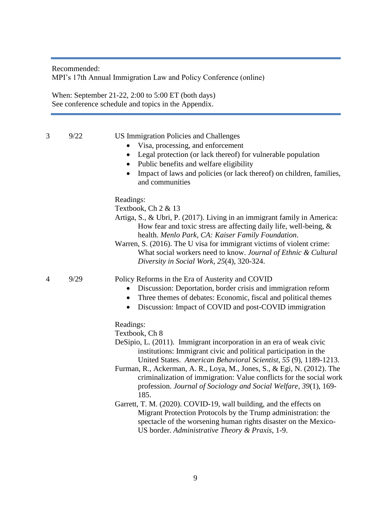Recommended: MPI's 17th Annual Immigration Law and Policy Conference (online)

When: September 21-22, 2:00 to 5:00 ET (both days) See conference schedule and topics in the Appendix.

- 3 9/22 US Immigration Policies and Challenges
	- Visa, processing, and enforcement
	- Legal protection (or lack thereof) for vulnerable population
	- Public benefits and welfare eligibility
	- Impact of laws and policies (or lack thereof) on children, families, and communities

#### Readings:

Textbook, Ch 2 & 13

- Artiga, S., & Ubri, P. (2017). Living in an immigrant family in America: How fear and toxic stress are affecting daily life, well-being, & health. *Menlo Park, CA: Kaiser Family Foundation*.
- Warren, S. (2016). The U visa for immigrant victims of violent crime: What social workers need to know. *Journal of Ethnic & Cultural Diversity in Social Work*, *25*(4), 320-324.

#### 4 9/29 Policy Reforms in the Era of Austerity and COVID

- Discussion: Deportation, border crisis and immigration reform
- Three themes of debates: Economic, fiscal and political themes
- Discussion: Impact of COVID and post-COVID immigration

#### Readings:

Textbook, Ch 8

DeSipio, L. (2011). Immigrant incorporation in an era of weak civic institutions: Immigrant civic and political participation in the United States. *American Behavioral Scientist, 55* (9), 1189-1213.

Furman, R., Ackerman, A. R., Loya, M., Jones, S., & Egi, N. (2012). The criminalization of immigration: Value conflicts for the social work profession. *Journal of Sociology and Social Welfare*, *39*(1), 169- 185.

Garrett, T. M. (2020). COVID-19, wall building, and the effects on Migrant Protection Protocols by the Trump administration: the spectacle of the worsening human rights disaster on the Mexico-US border. *Administrative Theory & Praxis*, 1-9.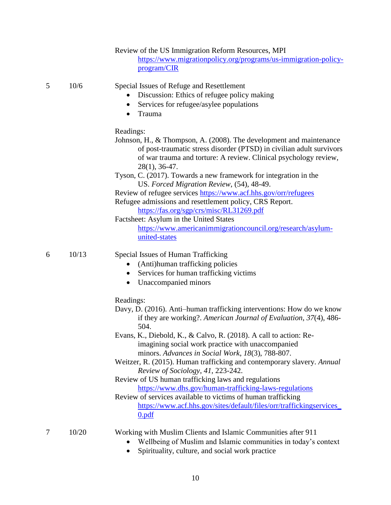|   |       | Review of the US Immigration Reform Resources, MPI<br>https://www.migrationpolicy.org/programs/us-immigration-policy-<br>program/CIR                                                                                                                                                                                                                                                                                                                                                                                                                                                                                                                                                                                             |
|---|-------|----------------------------------------------------------------------------------------------------------------------------------------------------------------------------------------------------------------------------------------------------------------------------------------------------------------------------------------------------------------------------------------------------------------------------------------------------------------------------------------------------------------------------------------------------------------------------------------------------------------------------------------------------------------------------------------------------------------------------------|
| 5 | 10/6  | Special Issues of Refuge and Resettlement<br>Discussion: Ethics of refugee policy making<br>Services for refugee/asylee populations<br>$\bullet$<br>Trauma<br>$\bullet$                                                                                                                                                                                                                                                                                                                                                                                                                                                                                                                                                          |
|   |       | Readings:<br>Johnson, H., & Thompson, A. (2008). The development and maintenance<br>of post-traumatic stress disorder (PTSD) in civilian adult survivors<br>of war trauma and torture: A review. Clinical psychology review,<br>$28(1)$ , 36-47.<br>Tyson, C. (2017). Towards a new framework for integration in the<br>US. Forced Migration Review, (54), 48-49.<br>Review of refugee services https://www.acf.hhs.gov/orr/refugees<br>Refugee admissions and resettlement policy, CRS Report.<br>https://fas.org/sgp/crs/misc/RL31269.pdf<br>Factsheet: Asylum in the United States<br>https://www.americanimmigrationcouncil.org/research/asylum-<br>united-states                                                            |
| 6 | 10/13 | Special Issues of Human Trafficking<br>(Anti)human trafficking policies<br>Services for human trafficking victims<br>$\bullet$<br>Unaccompanied minors<br>٠                                                                                                                                                                                                                                                                                                                                                                                                                                                                                                                                                                      |
|   |       | Readings:<br>Davy, D. (2016). Anti-human trafficking interventions: How do we know<br>if they are working?. American Journal of Evaluation, 37(4), 486-<br>504.<br>Evans, K., Diebold, K., & Calvo, R. (2018). A call to action: Re-<br>imagining social work practice with unaccompanied<br>minors. Advances in Social Work, 18(3), 788-807.<br>Weitzer, R. (2015). Human trafficking and contemporary slavery. Annual<br>Review of Sociology, 41, 223-242.<br>Review of US human trafficking laws and regulations<br>https://www.dhs.gov/human-trafficking-laws-regulations<br>Review of services available to victims of human trafficking<br>https://www.acf.hhs.gov/sites/default/files/orr/traffickingservices<br>$0.$ pdf |
| 7 | 10/20 | Working with Muslim Clients and Islamic Communities after 911<br>Wellbeing of Muslim and Islamic communities in today's context                                                                                                                                                                                                                                                                                                                                                                                                                                                                                                                                                                                                  |

• Spirituality, culture, and social work practice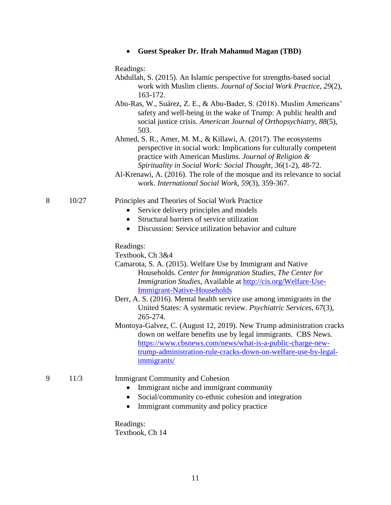|  |  |  |  |  | <b>Guest Speaker Dr. Ifrah Mahamud Magan (TBD)</b> |  |
|--|--|--|--|--|----------------------------------------------------|--|
|--|--|--|--|--|----------------------------------------------------|--|

Readings:

- Abdullah, S. (2015). An Islamic perspective for strengths-based social work with Muslim clients. *Journal of Social Work Practice*, *29*(2), 163-172.
- Abu-Ras, W., Suárez, Z. E., & Abu-Bader, S. (2018). Muslim Americans' safety and well-being in the wake of Trump: A public health and social justice crisis. *American Journal of Orthopsychiatry*, *88*(5), 503.
- Ahmed, S. R., Amer, M. M., & Killawi, A. (2017). The ecosystems perspective in social work: Implications for culturally competent practice with American Muslims. *Journal of Religion & Spirituality in Social Work: Social Thought*, *36*(1-2), 48-72.
- Al-Krenawi, A. (2016). The role of the mosque and its relevance to social work. *International Social Work*, *59*(3), 359-367.

#### 8 10/27 Principles and Theories of Social Work Practice

- Service delivery principles and models
- Structural barriers of service utilization
- Discussion: Service utilization behavior and culture

Readings:

Textbook, Ch 3&4

- Camarota, S. A. (2015). Welfare Use by Immigrant and Native Households. *Center for Immigration Studies, The Center for Immigration Studies,* Available at [http://cis.org/Welfare-Use-](http://cis.org/Welfare-Use-Immigrant-Native-Households)[Immigrant-Native-Households](http://cis.org/Welfare-Use-Immigrant-Native-Households)
- Derr, A. S. (2016). Mental health service use among immigrants in the United States: A systematic review. *Psychiatric Services*, *67*(3), 265-274.
- Montoya-Galvez, C. (August 12, 2019). New Trump administration cracks down on welfare benefits use by legal immigrants. CBS News. [https://www.cbsnews.com/news/what-is-a-public-charge-new](https://www.cbsnews.com/news/what-is-a-public-charge-new-trump-administration-rule-cracks-down-on-welfare-use-by-legal-immigrants/)[trump-administration-rule-cracks-down-on-welfare-use-by-legal](https://www.cbsnews.com/news/what-is-a-public-charge-new-trump-administration-rule-cracks-down-on-welfare-use-by-legal-immigrants/)[immigrants/](https://www.cbsnews.com/news/what-is-a-public-charge-new-trump-administration-rule-cracks-down-on-welfare-use-by-legal-immigrants/)

#### 9 11/3 Immigrant Community and Cohesion

- Immigrant niche and immigrant community
- Social/community co-ethnic cohesion and integration
- Immigrant community and policy practice

Readings: Textbook, Ch 14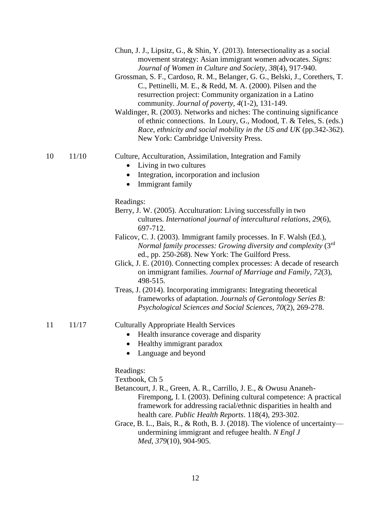|    |       | Chun, J. J., Lipsitz, G., & Shin, Y. (2013). Intersectionality as a social<br>movement strategy: Asian immigrant women advocates. Signs:<br>Journal of Women in Culture and Society, 38(4), 917-940.<br>Grossman, S. F., Cardoso, R. M., Belanger, G. G., Belski, J., Corethers, T.<br>C., Pettinelli, M. E., & Redd, M. A. (2000). Pilsen and the<br>resurrection project: Community organization in a Latino<br>community. Journal of poverty, 4(1-2), 131-149.<br>Waldinger, R. (2003). Networks and niches: The continuing significance<br>of ethnic connections. In Loury, G., Modood, T. & Teles, S. (eds.)<br>Race, ethnicity and social mobility in the US and UK (pp.342-362).<br>New York: Cambridge University Press. |
|----|-------|----------------------------------------------------------------------------------------------------------------------------------------------------------------------------------------------------------------------------------------------------------------------------------------------------------------------------------------------------------------------------------------------------------------------------------------------------------------------------------------------------------------------------------------------------------------------------------------------------------------------------------------------------------------------------------------------------------------------------------|
| 10 | 11/10 | Culture, Acculturation, Assimilation, Integration and Family<br>Living in two cultures<br>$\bullet$<br>Integration, incorporation and inclusion<br>$\bullet$<br>Immigrant family<br>$\bullet$                                                                                                                                                                                                                                                                                                                                                                                                                                                                                                                                    |
|    |       | Readings:<br>Berry, J. W. (2005). Acculturation: Living successfully in two<br>cultures. International journal of intercultural relations, 29(6),<br>697-712.<br>Falicov, C. J. (2003). Immigrant family processes. In F. Walsh (Ed.),<br>Normal family processes: Growing diversity and complexity (3rd<br>ed., pp. 250-268). New York: The Guilford Press.<br>Glick, J. E. (2010). Connecting complex processes: A decade of research<br>on immigrant families. Journal of Marriage and Family, 72(3),<br>498-515.<br>Treas, J. (2014). Incorporating immigrants: Integrating theoretical<br>frameworks of adaptation. Journals of Gerontology Series B:<br>Psychological Sciences and Social Sciences, 70(2), 269-278.        |
| 11 | 11/17 | <b>Culturally Appropriate Health Services</b><br>Health insurance coverage and disparity<br>Healthy immigrant paradox<br>Language and beyond<br>٠                                                                                                                                                                                                                                                                                                                                                                                                                                                                                                                                                                                |
|    |       | Readings:<br>Textbook, Ch 5<br>Betancourt, J. R., Green, A. R., Carrillo, J. E., & Owusu Ananeh-<br>Firempong, I. I. (2003). Defining cultural competence: A practical<br>framework for addressing racial/ethnic disparities in health and<br>health care. Public Health Reports. 118(4), 293-302.<br>Grace, B. L., Bais, R., & Roth, B. J. (2018). The violence of uncertainty—<br>undermining immigrant and refugee health. N Engl J<br>Med, 379(10), 904-905.                                                                                                                                                                                                                                                                 |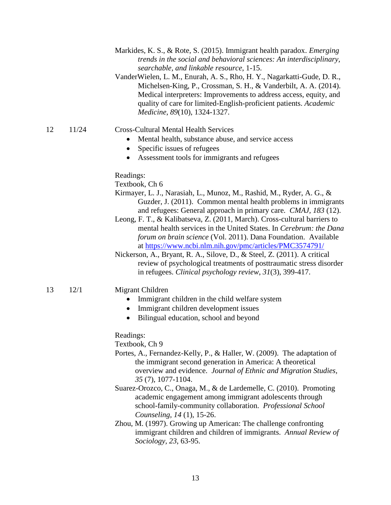- Markides, K. S., & Rote, S. (2015). Immigrant health paradox. *Emerging trends in the social and behavioral sciences: An interdisciplinary, searchable, and linkable resource*, 1-15.
- VanderWielen, L. M., Enurah, A. S., Rho, H. Y., Nagarkatti-Gude, D. R., Michelsen-King, P., Crossman, S. H., & Vanderbilt, A. A. (2014). Medical interpreters: Improvements to address access, equity, and quality of care for limited-English-proficient patients. *Academic Medicine*, *89*(10), 1324-1327.

### 12 11/24 Cross-Cultural Mental Health Services

- Mental health, substance abuse, and service access
- Specific issues of refugees
- Assessment tools for immigrants and refugees

Readings:

Textbook, Ch 6

- Kirmayer, L. J., Narasiah, L., Munoz, M., Rashid, M., Ryder, A. G., & Guzder, J. (2011). Common mental health problems in immigrants and refugees: General approach in primary care. *CMAJ, 183* (12).
- Leong, F. T., & Kalibatseva, Z. (2011, March). Cross-cultural barriers to mental health services in the United States. In *Cerebrum: the Dana forum on brain science* (Vol. 2011). Dana Foundation. Available at<https://www.ncbi.nlm.nih.gov/pmc/articles/PMC3574791/>
- Nickerson, A., Bryant, R. A., Silove, D., & Steel, Z. (2011). A critical review of psychological treatments of posttraumatic stress disorder in refugees. *Clinical psychology review*, *31*(3), 399-417.

#### 13 12/1 Migrant Children

- Immigrant children in the child welfare system
- Immigrant children development issues
- Bilingual education, school and beyond

Readings:

Textbook, Ch 9

- Portes, A., Fernandez-Kelly, P., & Haller, W. (2009). The adaptation of the immigrant second generation in America: A theoretical overview and evidence. *Journal of Ethnic and Migration Studies, 35* (7), 1077-1104.
- Suarez-Orozco, C., Onaga, M., & de Lardemelle, C. (2010). Promoting academic engagement among immigrant adolescents through school-family-community collaboration. *Professional School Counseling, 14* (1), 15-26.
- Zhou, M. (1997). Growing up American: The challenge confronting immigrant children and children of immigrants. *Annual Review of Sociology, 23*, 63-95.

13